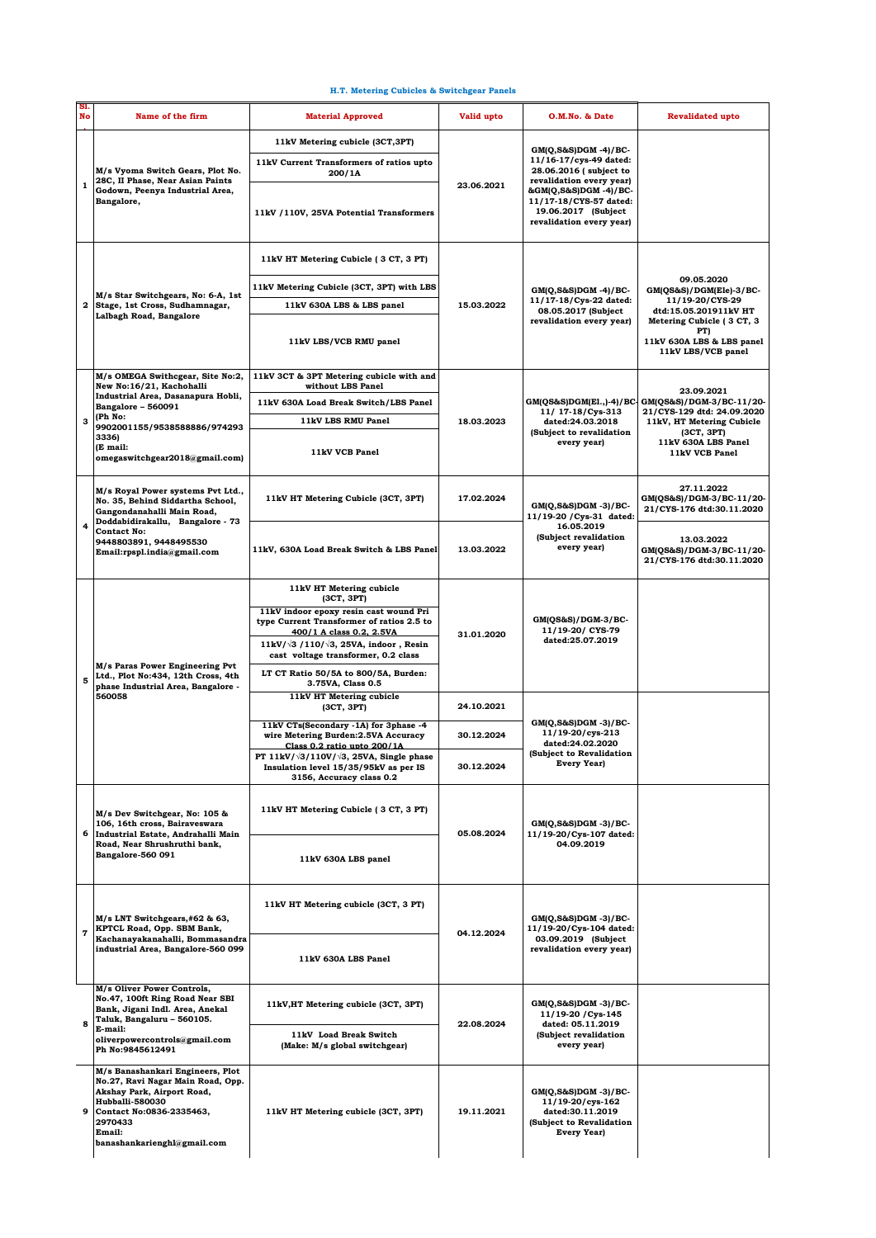## **H.T. Metering Cubicles & Switchgear Panels**

| SI.<br>No | Name of the firm                                                                                                                                                                                                           | <b>Material Approved</b>                                                                                                                                                                                                                                    | Valid upto | O.M.No. & Date                                                                                                                                                                                                | <b>Revalidated upto</b>                                                                                                                                  |
|-----------|----------------------------------------------------------------------------------------------------------------------------------------------------------------------------------------------------------------------------|-------------------------------------------------------------------------------------------------------------------------------------------------------------------------------------------------------------------------------------------------------------|------------|---------------------------------------------------------------------------------------------------------------------------------------------------------------------------------------------------------------|----------------------------------------------------------------------------------------------------------------------------------------------------------|
| 1         | M/s Vyoma Switch Gears, Plot No.<br>28C, II Phase, Near Asian Paints<br>Godown, Peenya Industrial Area,<br>Bangalore,                                                                                                      | 11kV Metering cubicle (3CT,3PT)                                                                                                                                                                                                                             | 23.06.2021 | $GM(Q, S&S)DGM -4)/BC$<br>11/16-17/cys-49 dated:<br>28.06.2016 ( subject to<br>revalidation every year)<br>&GM(Q,S&S)DGM -4)/BC-<br>11/17-18/CYS-57 dated:<br>19.06.2017 (Subject<br>revalidation every year) |                                                                                                                                                          |
|           |                                                                                                                                                                                                                            | 11kV Current Transformers of ratios upto<br>200/1A                                                                                                                                                                                                          |            |                                                                                                                                                                                                               |                                                                                                                                                          |
|           |                                                                                                                                                                                                                            | 11kV /110V, 25VA Potential Transformers                                                                                                                                                                                                                     |            |                                                                                                                                                                                                               |                                                                                                                                                          |
| 2         | M/s Star Switchgears, No: 6-A, 1st<br>Stage, 1st Cross, Sudhamnagar,<br>Lalbagh Road, Bangalore                                                                                                                            | 11kV HT Metering Cubicle (3 CT, 3 PT)                                                                                                                                                                                                                       | 15.03.2022 | $GM(Q, S&S)DGM -4)/BC$<br>11/17-18/Cys-22 dated:<br>08.05.2017 (Subject<br>revalidation every year)                                                                                                           |                                                                                                                                                          |
|           |                                                                                                                                                                                                                            | 11kV Metering Cubicle (3CT, 3PT) with LBS                                                                                                                                                                                                                   |            |                                                                                                                                                                                                               | 09.05.2020<br>GM(QS&S)/DGM(Ele)-3/BC-                                                                                                                    |
|           |                                                                                                                                                                                                                            | 11kV 630A LBS & LBS panel                                                                                                                                                                                                                                   |            |                                                                                                                                                                                                               | 11/19-20/CYS-29<br>dtd:15.05.201911kV HT                                                                                                                 |
|           |                                                                                                                                                                                                                            | 11kV LBS/VCB RMU panel                                                                                                                                                                                                                                      |            |                                                                                                                                                                                                               | Metering Cubicle (3 CT, 3<br>PT)<br>11kV 630A LBS & LBS panel<br>11kV LBS/VCB panel                                                                      |
|           | M/s OMEGA Swithcgear, Site No:2,<br>New No:16/21, Kachohalli<br>Industrial Area, Dasanapura Hobli,<br>Bangalore - 560091<br>(Ph No:<br>9902001155/9538588886/974293<br>3336)<br>(E mail:<br>omegaswitchgear2018@gmail.com) | 11kV 3CT & 3PT Metering cubicle with and<br>without LBS Panel                                                                                                                                                                                               | 18.03.2023 | GM(QS&S)DGM(E1.,)-4)/BC-<br>11/ 17-18/Cys-313<br>dated:24.03.2018<br>(Subject to revalidation<br>every year)                                                                                                  | 23.09.2021<br>GM(QS&S)/DGM-3/BC-11/20-<br>21/CYS-129 dtd: 24.09.2020<br>11kV, HT Metering Cubicle<br>(3CT, 3PT)<br>11kV 630A LBS Panel<br>11kV VCB Panel |
|           |                                                                                                                                                                                                                            | 11kV 630A Load Break Switch/LBS Panel                                                                                                                                                                                                                       |            |                                                                                                                                                                                                               |                                                                                                                                                          |
| 3         |                                                                                                                                                                                                                            | 11kV LBS RMU Panel                                                                                                                                                                                                                                          |            |                                                                                                                                                                                                               |                                                                                                                                                          |
|           |                                                                                                                                                                                                                            | 11kV VCB Panel                                                                                                                                                                                                                                              |            |                                                                                                                                                                                                               |                                                                                                                                                          |
| 4         | M/s Royal Power systems Pvt Ltd.,<br>No. 35, Behind Siddartha School,<br>Gangondanahalli Main Road,<br>Doddabidirakallu, Bangalore - 73<br><b>Contact No:</b><br>9448803891, 9448495530<br>Email:rpspl.india@gmail.com     | 11kV HT Metering Cubicle (3CT, 3PT)                                                                                                                                                                                                                         | 17.02.2024 | $GM(Q, S\&S)DGM - 3)/BC$<br>11/19-20 / Cys-31 dated:<br>16.05.2019<br>(Subject revalidation<br>every year)                                                                                                    | 27.11.2022<br>GM(QS&S)/DGM-3/BC-11/20-<br>21/CYS-176 dtd:30.11.2020                                                                                      |
|           |                                                                                                                                                                                                                            | 11kV, 630A Load Break Switch & LBS Panel                                                                                                                                                                                                                    | 13.03.2022 |                                                                                                                                                                                                               | 13.03.2022<br>GM(QS&S)/DGM-3/BC-11/20-<br>21/CYS-176 dtd:30.11.2020                                                                                      |
| 5         | M/s Paras Power Engineering Pvt<br>Ltd., Plot No:434, 12th Cross, 4th<br>phase Industrial Area, Bangalore -<br>560058                                                                                                      | 11kV HT Metering cubicle<br>(3CT, 3PT)<br>11kV indoor epoxy resin cast wound Pri<br>type Current Transformer of ratios 2.5 to<br>400/1 A class 0.2, 2.5VA<br>11kV/ $\sqrt{3}$ /110/ $\sqrt{3}$ , 25VA, indoor, Resin<br>cast voltage transformer, 0.2 class | 31.01.2020 | $GM(QS&S)/DGM-3/BC-$<br>11/19-20/ CYS-79<br>dated:25.07.2019                                                                                                                                                  |                                                                                                                                                          |
|           |                                                                                                                                                                                                                            | LT CT Ratio 50/5A to 800/5A, Burden:<br>3.75VA, Class 0.5                                                                                                                                                                                                   |            |                                                                                                                                                                                                               |                                                                                                                                                          |
|           |                                                                                                                                                                                                                            | 11kV HT Metering cubicle<br>(3CT, 3PT)                                                                                                                                                                                                                      | 24.10.2021 |                                                                                                                                                                                                               |                                                                                                                                                          |
|           |                                                                                                                                                                                                                            | 11kV CTs(Secondary -1A) for 3phase -4<br>wire Metering Burden:2.5VA Accuracy<br>Class 0.2 ratio upto 200/1A                                                                                                                                                 | 30.12.2024 | $GM(Q, S&S)DGM -3)/BC$<br>11/19-20/cys-213<br>dated:24.02.2020<br>(Subject to Revalidation<br>Every Year)                                                                                                     |                                                                                                                                                          |
|           |                                                                                                                                                                                                                            | PT $11kV/\sqrt{3}/110V/\sqrt{3}$ , 25VA, Single phase<br>Insulation level 15/35/95kV as per IS<br>3156, Accuracy class 0.2                                                                                                                                  | 30.12.2024 |                                                                                                                                                                                                               |                                                                                                                                                          |
|           | M/s Dev Switchgear, No: 105 &<br>106, 16th cross, Bairaveswara<br>6 Industrial Estate, Andrahalli Main<br>Road, Near Shrushruthi bank.<br>Bangalore-560 091                                                                | 11kV HT Metering Cubicle (3 CT, 3 PT)                                                                                                                                                                                                                       | 05.08.2024 | $GM(Q, S\&S)DGM -3)/BC$<br>11/19-20/Cys-107 dated:<br>04.09.2019                                                                                                                                              |                                                                                                                                                          |
|           |                                                                                                                                                                                                                            | 11kV 630A LBS panel                                                                                                                                                                                                                                         |            |                                                                                                                                                                                                               |                                                                                                                                                          |
|           | M/s LNT Switchgears,#62 & 63,<br>KPTCL Road, Opp. SBM Bank,<br>Kachanayakanahalli, Bommasandra<br>industrial Area, Bangalore-560 099                                                                                       | 11kV HT Metering cubicle (3CT, 3 PT)                                                                                                                                                                                                                        | 04.12.2024 | $GM(Q, S\&S)DGM -3)/BC$<br>11/19-20/Cys-104 dated:<br>03.09.2019 (Subject<br>revalidation every year)                                                                                                         |                                                                                                                                                          |
| 7         |                                                                                                                                                                                                                            | 11kV 630A LBS Panel                                                                                                                                                                                                                                         |            |                                                                                                                                                                                                               |                                                                                                                                                          |
| я         | M/s Oliver Power Controls,<br>No.47, 100ft Ring Road Near SBI<br>Bank, Jigani Indl. Area, Anekal<br>Taluk, Bangaluru - 560105.<br>E-mail:<br>oliverpowercontrols@gmail.com<br>Ph No:9845612491                             | 11kV, HT Metering cubicle (3CT, 3PT)                                                                                                                                                                                                                        | 22.08.2024 | $GM(Q, S&S)DGM -3)/BC$<br>11/19-20 / Cys-145<br>dated: 05.11.2019<br>(Subject revalidation<br>every year)                                                                                                     |                                                                                                                                                          |
|           |                                                                                                                                                                                                                            | 11kV Load Break Switch<br>(Make: M/s global switchgear)                                                                                                                                                                                                     |            |                                                                                                                                                                                                               |                                                                                                                                                          |
| 9         | M/s Banashankari Engineers, Plot<br>No.27, Ravi Nagar Main Road, Opp.<br>Akshay Park, Airport Road,<br><b>Hubballi-580030</b><br>Contact No:0836-2335463,<br>2970433<br>Email:<br>banashankarienghl@gmail.com              | 11kV HT Metering cubicle (3CT, 3PT)                                                                                                                                                                                                                         | 19.11.2021 | $GM(Q, S\&S)DGM -3)/BC$<br>11/19-20/cys-162<br>dated:30.11.2019<br>(Subject to Revalidation<br><b>Every Year)</b>                                                                                             |                                                                                                                                                          |